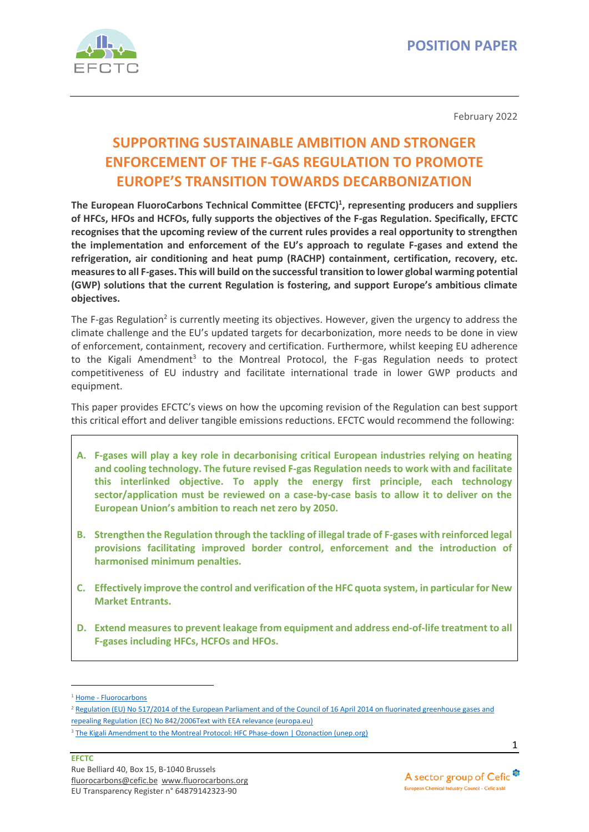

February 2022

# **SUPPORTING SUSTAINABLE AMBITION AND STRONGER ENFORCEMENT OF THE F-GAS REGULATION TO PROMOTE EUROPE'S TRANSITION TOWARDS DECARBONIZATION**

**The European FluoroCarbons Technical Committee (EFCTC) 1 , representing producers and suppliers of HFCs, HFOs and HCFOs, fully supports the objectives of the F-gas Regulation. Specifically, EFCTC recognises that the upcoming review of the current rules provides a real opportunity to strengthen the implementation and enforcement of the EU's approach to regulate F-gases and extend the refrigeration, air conditioning and heat pump (RACHP) containment, certification, recovery, etc. measures to all F-gases. This will build on the successful transition to lower global warming potential (GWP) solutions that the current Regulation is fostering, and support Europe's ambitious climate objectives.** 

The F-gas Regulation<sup>2</sup> is currently meeting its objectives. However, given the urgency to address the climate challenge and the EU's updated targets for decarbonization, more needs to be done in view of enforcement, containment, recovery and certification. Furthermore, whilst keeping EU adherence to the Kigali Amendment<sup>3</sup> to the Montreal Protocol, the F-gas Regulation needs to protect competitiveness of EU industry and facilitate international trade in lower GWP products and equipment.

This paper provides EFCTC's views on how the upcoming revision of the Regulation can best support this critical effort and deliver tangible emissions reductions. EFCTC would recommend the following:

- **A. F-gases will play a key role in decarbonising critical European industries relying on heating and cooling technology. The future revised F-gas Regulation needs to work with and facilitate this interlinked objective. To apply the energy first principle, each technology sector/application must be reviewed on a case-by-case basis to allow it to deliver on the European Union's ambition to reach net zero by 2050.**
- **B. Strengthen the Regulation through the tackling of illegal trade of F-gases with reinforced legal provisions facilitating improved border control, enforcement and the introduction of harmonised minimum penalties.**
- **C. Effectively improve the control and verification of the HFC quota system, in particular for New Market Entrants.**
- **D. Extend measures to prevent leakage from equipment and address end-of-life treatment to all F-gases including HFCs, HCFOs and HFOs.**

<sup>&</sup>lt;sup>1</sup> Home - [Fluorocarbons](https://www.fluorocarbons.org/)

<sup>&</sup>lt;sup>2</sup> Regulation (EU) No 517/2014 of the European Parliament and of the Council of 16 April 2014 on fluorinated greenhouse gases and [repealing Regulation \(EC\) No 842/2006Text with EEA relevance \(europa.eu\)](https://eur-lex.europa.eu/legal-content/EN/TXT/PDF/?uri=CELEX:32014R0517&from=EN)

<sup>&</sup>lt;sup>3</sup> [The Kigali Amendment to the Montreal Protocol: HFC Phase-down | Ozonaction \(unep.org\)](https://www.unep.org/ozonaction/resources/factsheet/kigali-amendment-montreal-protocol-hfc-phase-down)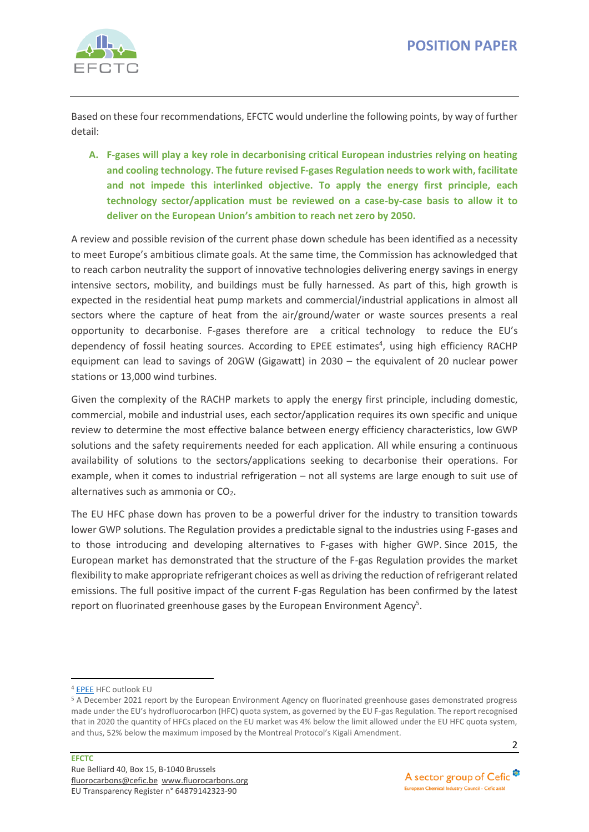

Based on these four recommendations, EFCTC would underline the following points, by way of further detail:

**A. F-gases will play a key role in decarbonising critical European industries relying on heating and cooling technology. The future revised F-gases Regulation needs to work with, facilitate and not impede this interlinked objective. To apply the energy first principle, each technology sector/application must be reviewed on a case-by-case basis to allow it to deliver on the European Union's ambition to reach net zero by 2050.** 

A review and possible revision of the current phase down schedule has been identified as a necessity to meet Europe's ambitious climate goals. At the same time, the Commission has acknowledged that to reach carbon neutrality the support of innovative technologies delivering energy savings in energy intensive sectors, mobility, and buildings must be fully harnessed. As part of this, high growth is expected in the residential heat pump markets and commercial/industrial applications in almost all sectors where the capture of heat from the air/ground/water or waste sources presents a real opportunity to decarbonise. F-gases therefore are a critical technology to reduce the EU's dependency of fossil heating sources. According to EPEE estimates<sup>4</sup>, using high efficiency RACHP equipment can lead to savings of 20GW (Gigawatt) in 2030 – the equivalent of 20 nuclear power stations or 13,000 wind turbines.

Given the complexity of the RACHP markets to apply the energy first principle, including domestic, commercial, mobile and industrial uses, each sector/application requires its own specific and unique review to determine the most effective balance between energy efficiency characteristics, low GWP solutions and the safety requirements needed for each application. All while ensuring a continuous availability of solutions to the sectors/applications seeking to decarbonise their operations. For example, when it comes to industrial refrigeration – not all systems are large enough to suit use of alternatives such as ammonia or  $CO<sub>2</sub>$ .

The EU HFC phase down has proven to be a powerful driver for the industry to transition towards lower GWP solutions. The Regulation provides a predictable signal to the industries using F-gases and to those introducing and developing alternatives to F-gases with higher GWP. Since 2015, the European market has demonstrated that the structure of the F-gas Regulation provides the market flexibility to make appropriate refrigerant choices as well as driving the reduction of refrigerant related emissions. The full positive impact of the current F-gas Regulation has been confirmed by the latest report on fluorinated greenhouse gases by the European Environment Agency<sup>5</sup>.

<sup>4</sup> [EPEE](https://epeeglobal.org/) HFC outlook EU

<sup>5</sup> A December 2021 report by the European Environment Agency on fluorinated greenhouse gases demonstrated progress made under the EU's hydrofluorocarbon (HFC) quota system, as governed by the EU F-gas Regulation. The report recognised that in 2020 the quantity of HFCs placed on the EU market was 4% below the limit allowed under the EU HFC quota system, and thus, 52% below the maximum imposed by the Montreal Protocol's Kigali Amendment.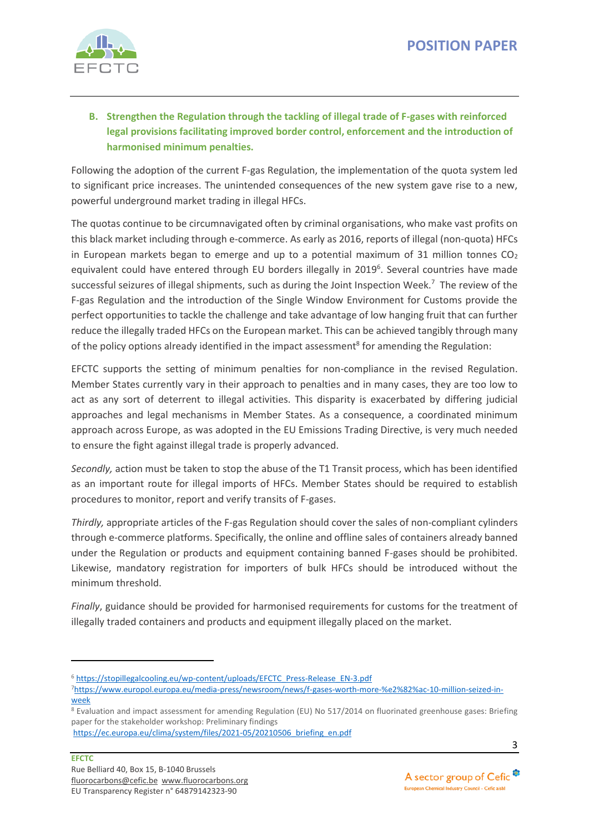

## **B. Strengthen the Regulation through the tackling of illegal trade of F-gases with reinforced legal provisions facilitating improved border control, enforcement and the introduction of harmonised minimum penalties.**

Following the adoption of the current F-gas Regulation, the implementation of the quota system led to significant price increases. The unintended consequences of the new system gave rise to a new, powerful underground market trading in illegal HFCs.

The quotas continue to be circumnavigated often by criminal organisations, who make vast profits on this black market including through e-commerce. As early as 2016, reports of illegal (non-quota) HFCs in European markets began to emerge and up to a potential maximum of 31 million tonnes  $CO<sub>2</sub>$ equivalent could have entered through EU borders illegally in 2019<sup>6</sup>. Several countries have made successful seizures of illegal shipments, such as during the Joint Inspection Week.<sup>7</sup> The review of the F-gas Regulation and the introduction of the Single Window Environment for Customs provide the perfect opportunities to tackle the challenge and take advantage of low hanging fruit that can further reduce the illegally traded HFCs on the European market. This can be achieved tangibly through many of the policy options already identified in the impact assessment<sup>8</sup> for amending the Regulation:

EFCTC supports the setting of minimum penalties for non-compliance in the revised Regulation. Member States currently vary in their approach to penalties and in many cases, they are too low to act as any sort of deterrent to illegal activities. This disparity is exacerbated by differing judicial approaches and legal mechanisms in Member States. As a consequence, a coordinated minimum approach across Europe, as was adopted in the EU Emissions Trading Directive, is very much needed to ensure the fight against illegal trade is properly advanced.

*Secondly,* action must be taken to stop the abuse of the T1 Transit process, which has been identified as an important route for illegal imports of HFCs. Member States should be required to establish procedures to monitor, report and verify transits of F-gases.

*Thirdly,* appropriate articles of the F-gas Regulation should cover the sales of non-compliant cylinders through e-commerce platforms. Specifically, the online and offline sales of containers already banned under the Regulation or products and equipment containing banned F-gases should be prohibited. Likewise, mandatory registration for importers of bulk HFCs should be introduced without the minimum threshold.

*Finally*, guidance should be provided for harmonised requirements for customs for the treatment of illegally traded containers and products and equipment illegally placed on the market.

<sup>6</sup> [https://stopillegalcooling.eu/wp-content/uploads/EFCTC\\_Press-Release\\_EN-3.pdf](https://stopillegalcooling.eu/wp-content/uploads/EFCTC_Press-Release_EN-3.pdf)

<sup>7</sup>[https://www.europol.europa.eu/media-press/newsroom/news/f-gases-worth-more-%e2%82%ac-10-million-seized-in](https://www.europol.europa.eu/media-press/newsroom/news/f-gases-worth-more-%e2%82%ac-10-million-seized-in-week)[week](https://www.europol.europa.eu/media-press/newsroom/news/f-gases-worth-more-%e2%82%ac-10-million-seized-in-week)

<sup>8</sup> Evaluation and impact assessment for amending Regulation (EU) No 517/2014 on fluorinated greenhouse gases: Briefing paper for the stakeholder workshop: Preliminary findings

[https://ec.europa.eu/clima/system/files/2021-05/20210506\\_briefing\\_en.pdf](https://ec.europa.eu/clima/system/files/2021-05/20210506_briefing_en.pdf)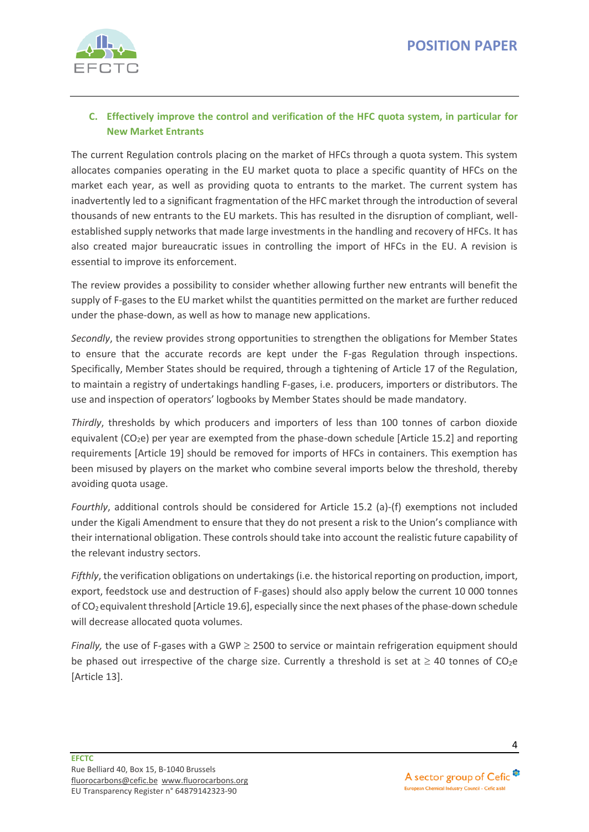

## **C. Effectively improve the control and verification of the HFC quota system, in particular for New Market Entrants**

The current Regulation controls placing on the market of HFCs through a quota system. This system allocates companies operating in the EU market quota to place a specific quantity of HFCs on the market each year, as well as providing quota to entrants to the market. The current system has inadvertently led to a significant fragmentation of the HFC market through the introduction of several thousands of new entrants to the EU markets. This has resulted in the disruption of compliant, wellestablished supply networks that made large investments in the handling and recovery of HFCs. It has also created major bureaucratic issues in controlling the import of HFCs in the EU. A revision is essential to improve its enforcement.

The review provides a possibility to consider whether allowing further new entrants will benefit the supply of F-gases to the EU market whilst the quantities permitted on the market are further reduced under the phase-down, as well as how to manage new applications.

*Secondly*, the review provides strong opportunities to strengthen the obligations for Member States to ensure that the accurate records are kept under the F-gas Regulation through inspections. Specifically, Member States should be required, through a tightening of Article 17 of the Regulation, to maintain a registry of undertakings handling F-gases, i.e. producers, importers or distributors. The use and inspection of operators' logbooks by Member States should be made mandatory.

*Thirdly*, thresholds by which producers and importers of less than 100 tonnes of carbon dioxide equivalent  $(CO<sub>2</sub>e)$  per year are exempted from the phase-down schedule [Article 15.2] and reporting requirements [Article 19] should be removed for imports of HFCs in containers. This exemption has been misused by players on the market who combine several imports below the threshold, thereby avoiding quota usage.

*Fourthly*, additional controls should be considered for Article 15.2 (a)-(f) exemptions not included under the Kigali Amendment to ensure that they do not present a risk to the Union's compliance with their international obligation. These controls should take into account the realistic future capability of the relevant industry sectors.

*Fifthly*, the verification obligations on undertakings (i.e. the historical reporting on production, import, export, feedstock use and destruction of F-gases) should also apply below the current 10 000 tonnes of CO<sup>2</sup> equivalentthreshold [Article 19.6], especially since the next phases of the phase-down schedule will decrease allocated quota volumes.

*Finally*, the use of F-gases with a GWP  $\geq$  2500 to service or maintain refrigeration equipment should be phased out irrespective of the charge size. Currently a threshold is set at  $\geq 40$  tonnes of CO<sub>2</sub>e [Article 13].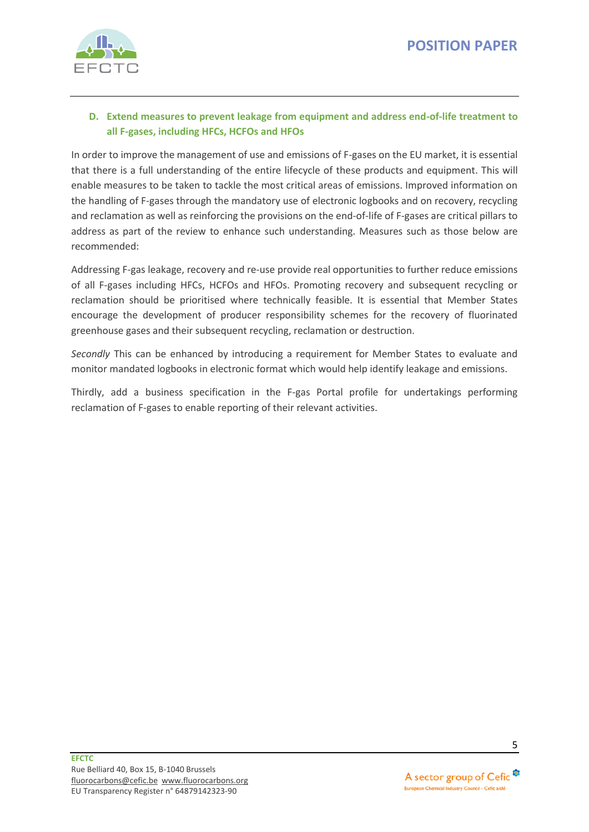

## **D. Extend measures to prevent leakage from equipment and address end-of-life treatment to all F-gases, including HFCs, HCFOs and HFOs**

In order to improve the management of use and emissions of F-gases on the EU market, it is essential that there is a full understanding of the entire lifecycle of these products and equipment. This will enable measures to be taken to tackle the most critical areas of emissions. Improved information on the handling of F-gases through the mandatory use of electronic logbooks and on recovery, recycling and reclamation as well as reinforcing the provisions on the end-of-life of F-gases are critical pillars to address as part of the review to enhance such understanding. Measures such as those below are recommended:

Addressing F-gas leakage, recovery and re-use provide real opportunities to further reduce emissions of all F-gases including HFCs, HCFOs and HFOs. Promoting recovery and subsequent recycling or reclamation should be prioritised where technically feasible. It is essential that Member States encourage the development of producer responsibility schemes for the recovery of fluorinated greenhouse gases and their subsequent recycling, reclamation or destruction.

*Secondly* This can be enhanced by introducing a requirement for Member States to evaluate and monitor mandated logbooks in electronic format which would help identify leakage and emissions.

Thirdly, add a business specification in the F-gas Portal profile for undertakings performing reclamation of F-gases to enable reporting of their relevant activities.

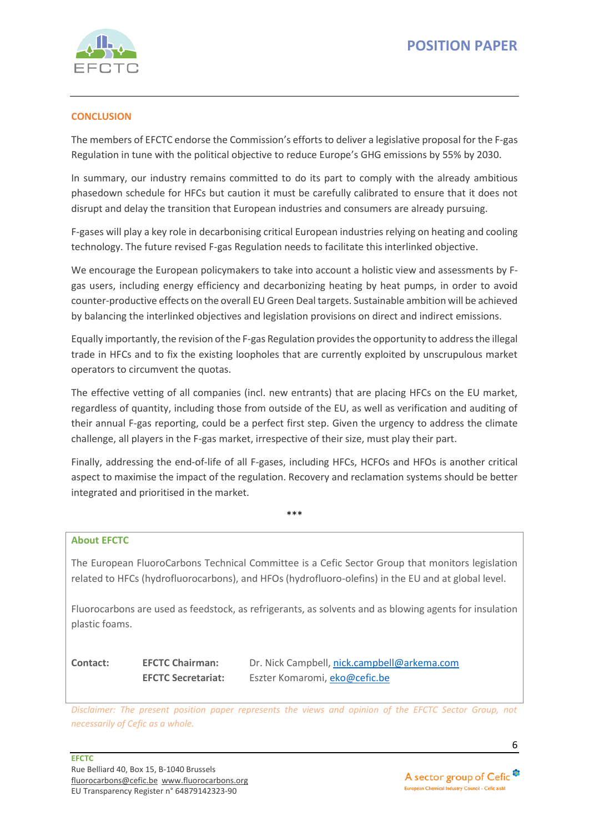

### **CONCLUSION**

The members of EFCTC endorse the Commission's efforts to deliver a legislative proposal for the F-gas Regulation in tune with the political objective to reduce Europe's GHG emissions by 55% by 2030.

In summary, our industry remains committed to do its part to comply with the already ambitious phasedown schedule for HFCs but caution it must be carefully calibrated to ensure that it does not disrupt and delay the transition that European industries and consumers are already pursuing.

F-gases will play a key role in decarbonising critical European industries relying on heating and cooling technology. The future revised F-gas Regulation needs to facilitate this interlinked objective.

We encourage the European policymakers to take into account a holistic view and assessments by Fgas users, including energy efficiency and decarbonizing heating by heat pumps, in order to avoid counter-productive effects on the overall EU Green Deal targets. Sustainable ambition will be achieved by balancing the interlinked objectives and legislation provisions on direct and indirect emissions.

Equally importantly, the revision of the F-gas Regulation provides the opportunity to address the illegal trade in HFCs and to fix the existing loopholes that are currently exploited by unscrupulous market operators to circumvent the quotas.

The effective vetting of all companies (incl. new entrants) that are placing HFCs on the EU market, regardless of quantity, including those from outside of the EU, as well as verification and auditing of their annual F-gas reporting, could be a perfect first step. Given the urgency to address the climate challenge, all players in the F-gas market, irrespective of their size, must play their part.

Finally, addressing the end-of-life of all F-gases, including HFCs, HCFOs and HFOs is another critical aspect to maximise the impact of the regulation. Recovery and reclamation systems should be better integrated and prioritised in the market.

\*\*\*

#### **About EFCTC**

The European FluoroCarbons Technical Committee is a Cefic Sector Group that monitors legislation related to HFCs (hydrofluorocarbons), and HFOs (hydrofluoro-olefins) in the EU and at global level.

Fluorocarbons are used as feedstock, as refrigerants, as solvents and as blowing agents for insulation plastic foams.

| Contact: | <b>EFCTC Chairman:</b>    | Dr. Nick Campbell, nick.campbell@arkema.com |
|----------|---------------------------|---------------------------------------------|
|          | <b>EFCTC Secretariat:</b> | Eszter Komaromi, eko@cefic.be               |

*Disclaimer: The present position paper represents the views and opinion of the EFCTC Sector Group, not necessarily of Cefic as a whole.* 

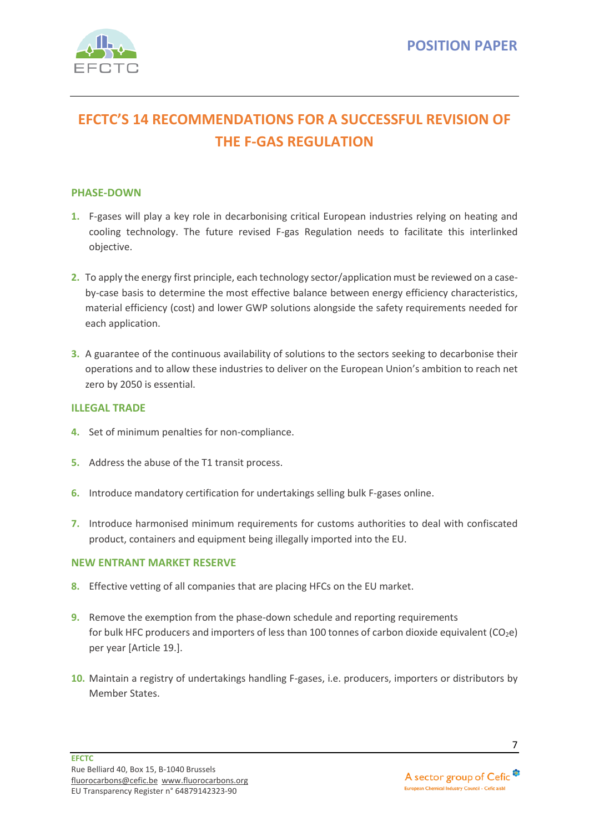

# **EFCTC'S 14 RECOMMENDATIONS FOR A SUCCESSFUL REVISION OF THE F-GAS REGULATION**

### **PHASE-DOWN**

- **1.** F-gases will play a key role in decarbonising critical European industries relying on heating and cooling technology. The future revised F-gas Regulation needs to facilitate this interlinked objective.
- **2.** To apply the energy first principle, each technology sector/application must be reviewed on a caseby-case basis to determine the most effective balance between energy efficiency characteristics, material efficiency (cost) and lower GWP solutions alongside the safety requirements needed for each application.
- **3.** A guarantee of the continuous availability of solutions to the sectors seeking to decarbonise their operations and to allow these industries to deliver on the European Union's ambition to reach net zero by 2050 is essential.

### **ILLEGAL TRADE**

- **4.** Set of minimum penalties for non-compliance.
- **5.** Address the abuse of the T1 transit process.
- **6.** Introduce mandatory certification for undertakings selling bulk F-gases online.
- **7.** Introduce harmonised minimum requirements for customs authorities to deal with confiscated product, containers and equipment being illegally imported into the EU.

#### **NEW ENTRANT MARKET RESERVE**

- **8.** Effective vetting of all companies that are placing HFCs on the EU market.
- **9.** Remove the exemption from the phase-down schedule and reporting requirements for bulk HFC producers and importers of less than 100 tonnes of carbon dioxide equivalent ( $CO<sub>2</sub>e$ ) per year [Article 19.].
- **10.** Maintain a registry of undertakings handling F-gases, i.e. producers, importers or distributors by Member States.